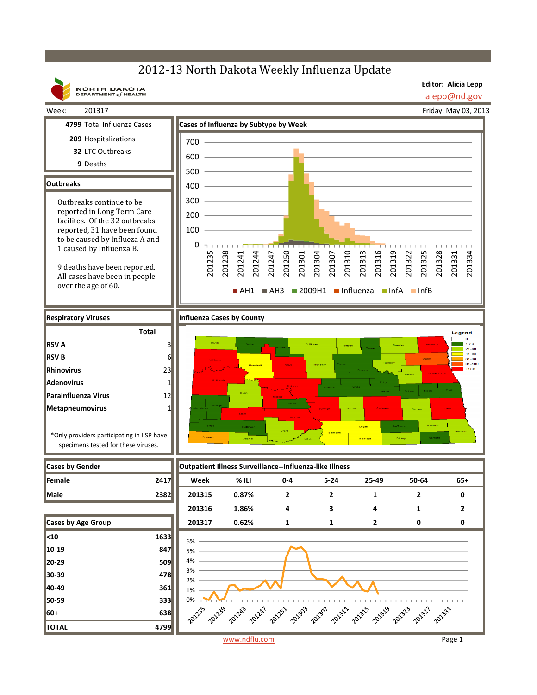## 2012-13 North Dakota Weekly Influenza Update



**Editor: Alicia Lepp** alepp@nd.gov

Friday, May 03, 2013